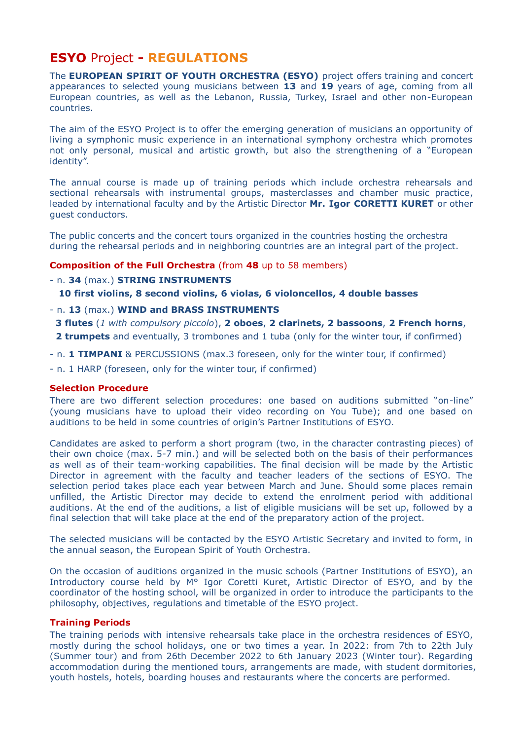# **ESYO** Project **- REGULATIONS**

The **EUROPEAN SPIRIT OF YOUTH ORCHESTRA (ESYO)** project offers training and concert appearances to selected young musicians between **13** and **19** years of age, coming from all European countries, as well as the Lebanon, Russia, Turkey, Israel and other non-European countries.

The aim of the ESYO Project is to offer the emerging generation of musicians an opportunity of living a symphonic music experience in an international symphony orchestra which promotes not only personal, musical and artistic growth, but also the strengthening of a "European identity".

The annual course is made up of training periods which include orchestra rehearsals and sectional rehearsals with instrumental groups, masterclasses and chamber music practice, leaded by international faculty and by the Artistic Director **Mr. Igor CORETTI KURET** or other guest conductors.

The public concerts and the concert tours organized in the countries hosting the orchestra during the rehearsal periods and in neighboring countries are an integral part of the project.

# **Composition of the Full Orchestra** (from **48** up to 58 members)

# - n. **34** (max.) **STRING INSTRUMENTS**

 **10 first violins, 8 second violins, 6 violas, 6 violoncellos, 4 double basses**

- n. **13** (max.) **WIND and BRASS INSTRUMENTS**
- **3 flutes** (*1 with compulsory piccolo*), **2 oboes**, **2 clarinets, 2 bassoons**, **2 French horns**, **2 trumpets** and eventually, 3 trombones and 1 tuba (only for the winter tour, if confirmed)
- n. **1 TIMPANI** & PERCUSSIONS (max.3 foreseen, only for the winter tour, if confirmed)
- n. 1 HARP (foreseen, only for the winter tour, if confirmed)

#### **Selection Procedure**

There are two different selection procedures: one based on auditions submitted "on-line" (young musicians have to upload their video recording on You Tube); and one based on auditions to be held in some countries of origin's Partner Institutions of ESYO.

Candidates are asked to perform a short program (two, in the character contrasting pieces) of their own choice (max. 5-7 min.) and will be selected both on the basis of their performances as well as of their team-working capabilities. The final decision will be made by the Artistic Director in agreement with the faculty and teacher leaders of the sections of ESYO. The selection period takes place each year between March and June. Should some places remain unfilled, the Artistic Director may decide to extend the enrolment period with additional auditions. At the end of the auditions, a list of eligible musicians will be set up, followed by a final selection that will take place at the end of the preparatory action of the project.

The selected musicians will be contacted by the ESYO Artistic Secretary and invited to form, in the annual season, the European Spirit of Youth Orchestra.

On the occasion of auditions organized in the music schools (Partner Institutions of ESYO), an Introductory course held by M° Igor Coretti Kuret, Artistic Director of ESYO, and by the coordinator of the hosting school, will be organized in order to introduce the participants to the philosophy, objectives, regulations and timetable of the ESYO project.

#### **Training Periods**

The training periods with intensive rehearsals take place in the orchestra residences of ESYO, mostly during the school holidays, one or two times a year. In 2022: from 7th to 22th July (Summer tour) and from 26th December 2022 to 6th January 2023 (Winter tour). Regarding accommodation during the mentioned tours, arrangements are made, with student dormitories, youth hostels, hotels, boarding houses and restaurants where the concerts are performed.